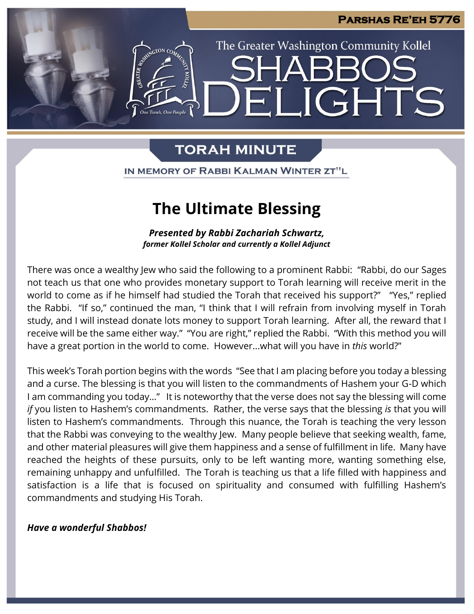IGHTS

The Greater Washington Community Kollel

# **TORAH MINUTE**

IN MEMORY OF RABBI KALMAN WINTER ZT"L

# **The Ultimate Blessing**

*Presented by Rabbi Zachariah Schwartz, former Kollel Scholar and currently a Kollel Adjunct*

There was once a wealthy Jew who said the following to a prominent Rabbi: "Rabbi, do our Sages not teach us that one who provides monetary support to Torah learning will receive merit in the world to come as if he himself had studied the Torah that received his support?" "Yes," replied the Rabbi. "If so," continued the man, "I think that I will refrain from involving myself in Torah study, and I will instead donate lots money to support Torah learning. After all, the reward that I receive will be the same either way." "You are right," replied the Rabbi. "With this method you will have a great portion in the world to come. However...what will you have in *this* world?"

This week's Torah portion begins with the words "See that I am placing before you today a blessing and a curse. The blessing is that you will listen to the commandments of Hashem your G-D which I am commanding you today…" It is noteworthy that the verse does not say the blessing will come *if* you listen to Hashem's commandments. Rather, the verse says that the blessing *is* that you will listen to Hashem's commandments. Through this nuance, the Torah is teaching the very lesson that the Rabbi was conveying to the wealthy Jew. Many people believe that seeking wealth, fame, and other material pleasures will give them happiness and a sense of fulfillment in life. Many have reached the heights of these pursuits, only to be left wanting more, wanting something else, remaining unhappy and unfulfilled. The Torah is teaching us that a life filled with happiness and satisfaction is a life that is focused on spirituality and consumed with fulfilling Hashem's commandments and studying His Torah.

*Have a wonderful Shabbos!*